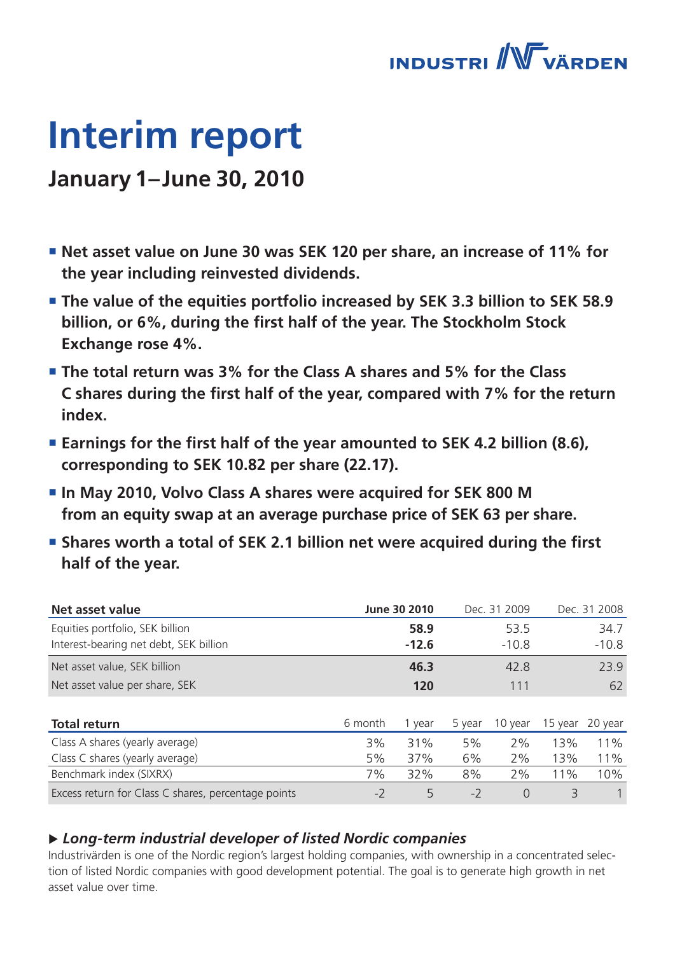

# **Interim report**

### **January 1–June 30, 2010**

- **Net asset value on June 30 was SEK 120 per share, an increase of 11% for the year including reinvested dividends.**
- **The value of the equities portfolio increased by SEK 3.3 billion to SEK 58.9 billion, or 6%, during the first half of the year. The Stockholm Stock Exchange rose 4%.**
- **The total return was 3% for the Class A shares and 5% for the Class C shares during the first half of the year, compared with 7% for the return index.**
- Earnings for the first half of the year amounted to SEK 4.2 billion (8.6), **corresponding to SEK 10.82 per share (22.17).**
- **In May 2010, Volvo Class A shares were acquired for SEK 800 M from an equity swap at an average purchase price of SEK 63 per share.**
- **Shares worth a total of SEK 2.1 billion net were acquired during the first half of the year.**

| Net asset value                                     |         | June 30 2010 |        | Dec. 31 2009 |         | Dec. 31 2008 |
|-----------------------------------------------------|---------|--------------|--------|--------------|---------|--------------|
| Equities portfolio, SEK billion                     |         | 58.9         |        | 53.5         |         | 34.7         |
| Interest-bearing net debt, SEK billion              |         | $-12.6$      |        | $-10.8$      |         | $-10.8$      |
| Net asset value, SEK billion                        |         | 46.3         |        | 42.8         |         | 23.9         |
| Net asset value per share, SEK                      |         | 120          |        | 111          |         | 62           |
|                                                     |         |              |        |              |         |              |
| <b>Total return</b>                                 | 6 month | 1 year       | 5 year | 10 year      | 15 year | 20 year      |
| Class A shares (yearly average)                     | 3%      | 31%          | 5%     | 2%           | 13%     | 11%          |
| Class C shares (yearly average)                     | 5%      | 37%          | 6%     | 2%           | 13%     | 11%          |
| Benchmark index (SIXRX)                             | 7%      | 32%          | 8%     | 2%           | 11%     | 10%          |
| Excess return for Class C shares, percentage points | $-2$    | 5            | $-2$   | $\Omega$     | 3       |              |

### u *Long-term industrial developer of listed Nordic companies*

Industrivärden is one of the Nordic region's largest holding companies, with ownership in a concentrated selection of listed Nordic companies with good development potential. The goal is to generate high growth in net asset value over time.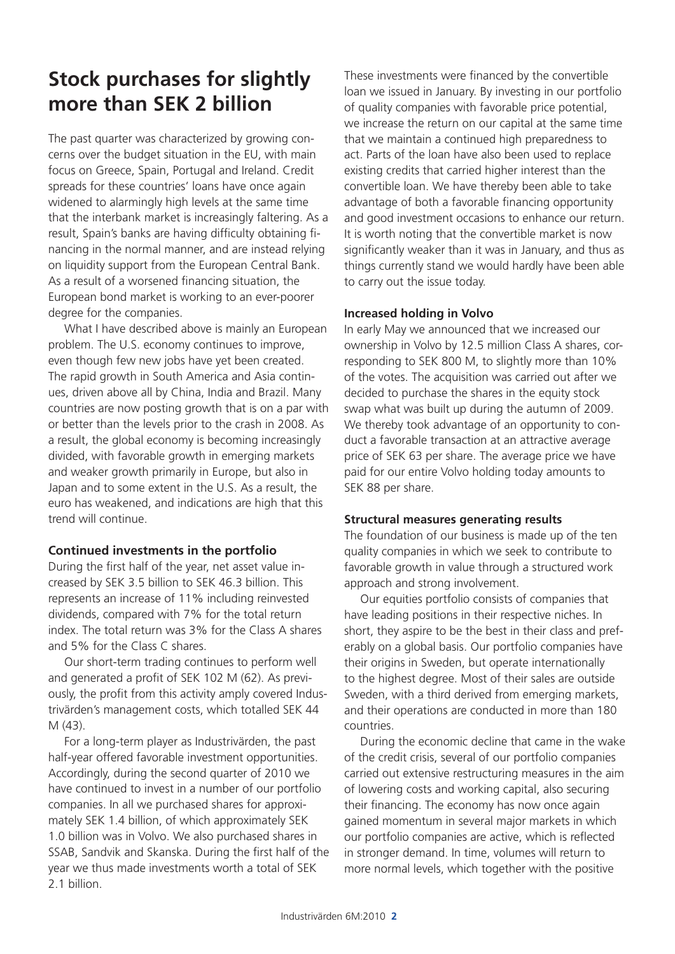# **Stock purchases for slightly more than SEK 2 billion**

The past quarter was characterized by growing concerns over the budget situation in the EU, with main focus on Greece, Spain, Portugal and Ireland. Credit spreads for these countries' loans have once again widened to alarmingly high levels at the same time that the interbank market is increasingly faltering. As a result, Spain's banks are having difficulty obtaining financing in the normal manner, and are instead relying on liquidity support from the European Central Bank. As a result of a worsened financing situation, the European bond market is working to an ever-poorer degree for the companies.

What I have described above is mainly an European problem. The U.S. economy continues to improve, even though few new jobs have yet been created. The rapid growth in South America and Asia continues, driven above all by China, India and Brazil. Many countries are now posting growth that is on a par with or better than the levels prior to the crash in 2008. As a result, the global economy is becoming increasingly divided, with favorable growth in emerging markets and weaker growth primarily in Europe, but also in Japan and to some extent in the U.S. As a result, the euro has weakened, and indications are high that this trend will continue.

### **Continued investments in the portfolio**

During the first half of the year, net asset value increased by SEK 3.5 billion to SEK 46.3 billion. This represents an increase of 11% including reinvested dividends, compared with 7% for the total return index. The total return was 3% for the Class A shares and 5% for the Class C shares.

Our short-term trading continues to perform well and generated a profit of SEK 102 M (62). As previously, the profit from this activity amply covered Industrivärden's management costs, which totalled SEK 44 M (43).

For a long-term player as Industrivärden, the past half-year offered favorable investment opportunities. Accordingly, during the second quarter of 2010 we have continued to invest in a number of our portfolio companies. In all we purchased shares for approximately SEK 1.4 billion, of which approximately SEK 1.0 billion was in Volvo. We also purchased shares in SSAB, Sandvik and Skanska. During the first half of the year we thus made investments worth a total of SEK 2.1 billion.

These investments were financed by the convertible loan we issued in January. By investing in our portfolio of quality companies with favorable price potential, we increase the return on our capital at the same time that we maintain a continued high preparedness to act. Parts of the loan have also been used to replace existing credits that carried higher interest than the convertible loan. We have thereby been able to take advantage of both a favorable financing opportunity and good investment occasions to enhance our return. It is worth noting that the convertible market is now significantly weaker than it was in January, and thus as things currently stand we would hardly have been able to carry out the issue today.

### **Increased holding in Volvo**

In early May we announced that we increased our ownership in Volvo by 12.5 million Class A shares, corresponding to SEK 800 M, to slightly more than 10% of the votes. The acquisition was carried out after we decided to purchase the shares in the equity stock swap what was built up during the autumn of 2009. We thereby took advantage of an opportunity to conduct a favorable transaction at an attractive average price of SEK 63 per share. The average price we have paid for our entire Volvo holding today amounts to SEK 88 per share.

### **Structural measures generating results**

The foundation of our business is made up of the ten quality companies in which we seek to contribute to favorable growth in value through a structured work approach and strong involvement.

Our equities portfolio consists of companies that have leading positions in their respective niches. In short, they aspire to be the best in their class and preferably on a global basis. Our portfolio companies have their origins in Sweden, but operate internationally to the highest degree. Most of their sales are outside Sweden, with a third derived from emerging markets, and their operations are conducted in more than 180 countries.

During the economic decline that came in the wake of the credit crisis, several of our portfolio companies carried out extensive restructuring measures in the aim of lowering costs and working capital, also securing their financing. The economy has now once again gained momentum in several major markets in which our portfolio companies are active, which is reflected in stronger demand. In time, volumes will return to more normal levels, which together with the positive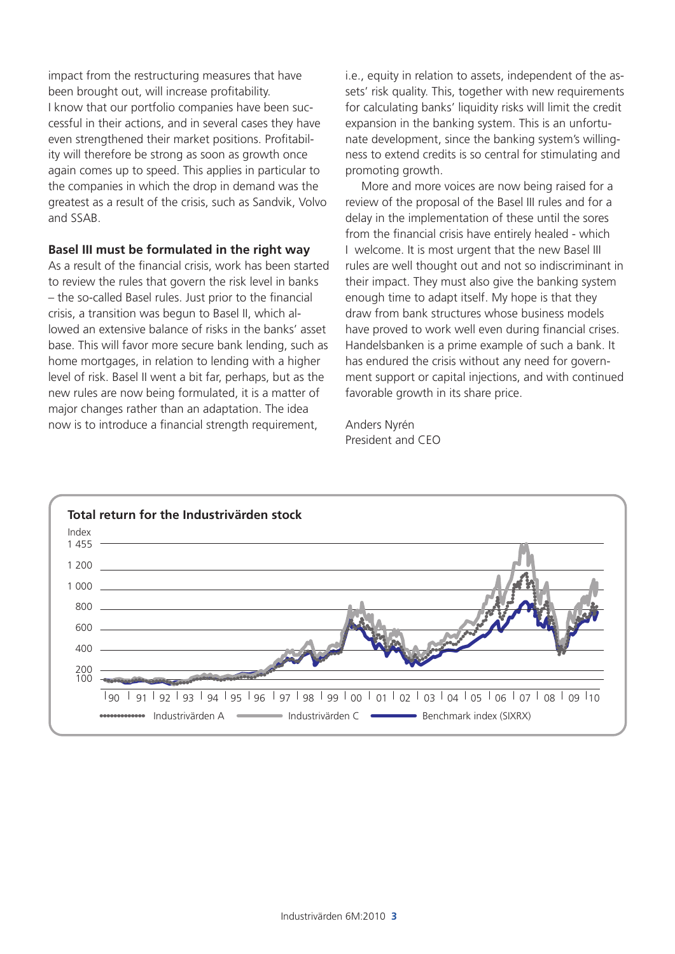impact from the restructuring measures that have been brought out, will increase profitability. I know that our portfolio companies have been successful in their actions, and in several cases they have even strengthened their market positions. Profitability will therefore be strong as soon as growth once again comes up to speed. This applies in particular to the companies in which the drop in demand was the greatest as a result of the crisis, such as Sandvik, Volvo and SSAB.

### **Basel III must be formulated in the right way**

As a result of the financial crisis, work has been started to review the rules that govern the risk level in banks – the so-called Basel rules. Just prior to the financial crisis, a transition was begun to Basel II, which allowed an extensive balance of risks in the banks' asset base. This will favor more secure bank lending, such as home mortgages, in relation to lending with a higher level of risk. Basel II went a bit far, perhaps, but as the new rules are now being formulated, it is a matter of major changes rather than an adaptation. The idea now is to introduce a financial strength requirement,

i.e., equity in relation to assets, independent of the assets' risk quality. This, together with new requirements for calculating banks' liquidity risks will limit the credit expansion in the banking system. This is an unfortunate development, since the banking system's willingness to extend credits is so central for stimulating and promoting growth.

More and more voices are now being raised for a review of the proposal of the Basel III rules and for a delay in the implementation of these until the sores from the financial crisis have entirely healed - which I welcome. It is most urgent that the new Basel III rules are well thought out and not so indiscriminant in their impact. They must also give the banking system enough time to adapt itself. My hope is that they draw from bank structures whose business models have proved to work well even during financial crises. Handelsbanken is a prime example of such a bank. It has endured the crisis without any need for government support or capital injections, and with continued favorable growth in its share price.

Anders Nyrén President and CEO

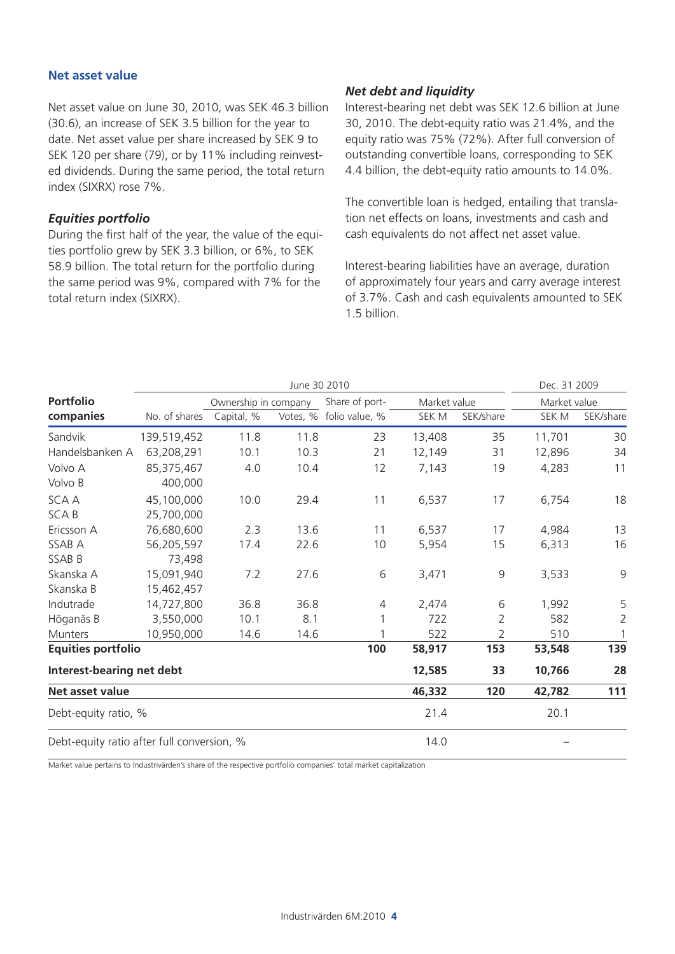#### **Net asset value**

Net asset value on June 30, 2010, was SEK 46.3 billion (30.6), an increase of SEK 3.5 billion for the year to date. Net asset value per share increased by SEK 9 to SEK 120 per share (79), or by 11% including reinvested dividends. During the same period, the total return index (SIXRX) rose 7%.

### *Equities portfolio*

During the first half of the year, the value of the equities portfolio grew by SEK 3.3 billion, or 6%, to SEK 58.9 billion. The total return for the portfolio during the same period was 9%, compared with 7% for the total return index (SIXRX).

### *Net debt and liquidity*

Interest-bearing net debt was SEK 12.6 billion at June 30, 2010. The debt-equity ratio was 21.4%, and the equity ratio was 75% (72%). After full conversion of outstanding convertible loans, corresponding to SEK 4.4 billion, the debt-equity ratio amounts to 14.0%.

The convertible loan is hedged, entailing that translation net effects on loans, investments and cash and cash equivalents do not affect net asset value.

Interest-bearing liabilities have an average, duration of approximately four years and carry average interest of 3.7%. Cash and cash equivalents amounted to SEK 1.5 billion.

|                                            |               |                      | June 30 2010 |                |              |                | Dec. 31 2009 |                |
|--------------------------------------------|---------------|----------------------|--------------|----------------|--------------|----------------|--------------|----------------|
| <b>Portfolio</b>                           |               | Ownership in company |              | Share of port- | Market value |                | Market value |                |
| companies                                  | No. of shares | Capital, %           | Votes, %     | folio value, % | SEK M        | SEK/share      | SEK M        | SEK/share      |
| Sandvik                                    | 139,519,452   | 11.8                 | 11.8         | 23             | 13,408       | 35             | 11,701       | 30             |
| Handelsbanken A                            | 63,208,291    | 10.1                 | 10.3         | 21             | 12,149       | 31             | 12,896       | 34             |
| Volvo A                                    | 85,375,467    | 4.0                  | 10.4         | 12             | 7,143        | 19             | 4,283        | 11             |
| Volvo B                                    | 400,000       |                      |              |                |              |                |              |                |
| <b>SCAA</b>                                | 45,100,000    | 10.0                 | 29.4         | 11             | 6,537        | 17             | 6,754        | 18             |
| <b>SCAB</b>                                | 25,700,000    |                      |              |                |              |                |              |                |
| Ericsson A                                 | 76,680,600    | 2.3                  | 13.6         | 11             | 6,537        | 17             | 4,984        | 13             |
| SSAB A                                     | 56,205,597    | 17.4                 | 22.6         | 10             | 5,954        | 15             | 6,313        | 16             |
| SSAB B                                     | 73,498        |                      |              |                |              |                |              |                |
| Skanska A                                  | 15,091,940    | 7.2                  | 27.6         | 6              | 3,471        | $\overline{9}$ | 3,533        | 9              |
| Skanska B                                  | 15,462,457    |                      |              |                |              |                |              |                |
| Indutrade                                  | 14,727,800    | 36.8                 | 36.8         | 4              | 2,474        | 6              | 1,992        | 5              |
| Höganäs B                                  | 3,550,000     | 10.1                 | 8.1          |                | 722          | 2              | 582          | $\overline{2}$ |
| Munters                                    | 10,950,000    | 14.6                 | 14.6         |                | 522          | 2              | 510          | 1              |
| <b>Equities portfolio</b>                  |               |                      |              | 100            | 58,917       | 153            | 53,548       | 139            |
| Interest-bearing net debt                  |               |                      |              |                | 12,585       | 33             | 10,766       | 28             |
| Net asset value                            |               |                      |              |                | 46,332       | 120            | 42,782       | 111            |
| Debt-equity ratio, %                       |               |                      |              |                | 21.4         |                | 20.1         |                |
| Debt-equity ratio after full conversion, % |               |                      |              |                | 14.0         |                |              |                |

Market value pertains to Industrivärden's share of the respective portfolio companies' total market capitalization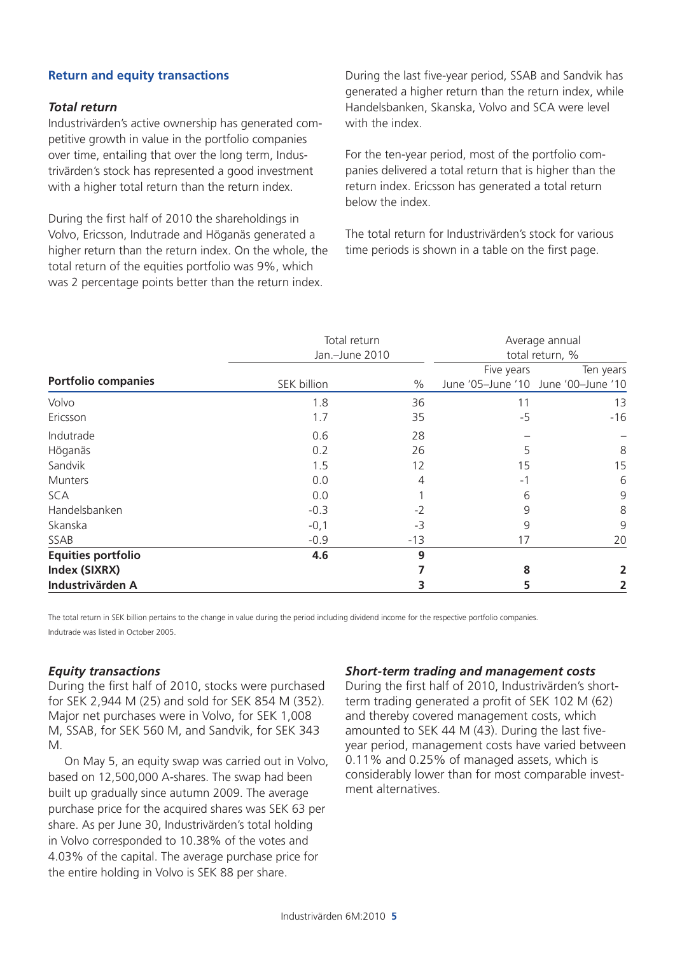### **Return and equity transactions**

### *Total return*

Industrivärden's active ownership has generated competitive growth in value in the portfolio companies over time, entailing that over the long term, Industrivärden's stock has represented a good investment with a higher total return than the return index.

During the first half of 2010 the shareholdings in Volvo, Ericsson, Indutrade and Höganäs generated a higher return than the return index. On the whole, the total return of the equities portfolio was 9%, which was 2 percentage points better than the return index.

During the last five-year period, SSAB and Sandvik has generated a higher return than the return index, while Handelsbanken, Skanska, Volvo and SCA were level with the index

For the ten-year period, most of the portfolio companies delivered a total return that is higher than the return index. Ericsson has generated a total return below the index.

The total return for Industrivärden's stock for various time periods is shown in a table on the first page.

|                            | Total return<br>Jan.-June 2010 |       | Average annual<br>total return, % |                                     |  |
|----------------------------|--------------------------------|-------|-----------------------------------|-------------------------------------|--|
|                            |                                |       | Five years                        | Ten years                           |  |
| <b>Portfolio companies</b> | SEK billion                    | $\%$  |                                   | June '05-June '10 June '00-June '10 |  |
| Volvo                      | 1.8                            | 36    | 11                                | 13                                  |  |
| Ericsson                   | 1.7                            | 35    | $-5$                              | $-16$                               |  |
| Indutrade                  | 0.6                            | 28    |                                   |                                     |  |
| Höganäs                    | 0.2                            | 26    | 5                                 | 8                                   |  |
| Sandvik                    | 1.5                            | 12    | 15                                | 15                                  |  |
| <b>Munters</b>             | 0.0                            | 4     | -1                                | 6                                   |  |
| <b>SCA</b>                 | 0.0                            |       | 6                                 | 9                                   |  |
| Handelsbanken              | $-0.3$                         | $-2$  | 9                                 | 8                                   |  |
| Skanska                    | $-0,1$                         | -3    | 9                                 | 9                                   |  |
| SSAB                       | $-0.9$                         | $-13$ | 17                                | 20                                  |  |
| <b>Equities portfolio</b>  | 4.6                            | 9     |                                   |                                     |  |
| Index (SIXRX)              |                                |       | 8                                 |                                     |  |
| Industrivärden A           |                                |       | 5                                 |                                     |  |

The total return in SEK billion pertains to the change in value during the period including dividend income for the respective portfolio companies. Indutrade was listed in October 2005.

### *Equity transactions*

During the first half of 2010, stocks were purchased for SEK 2,944 M (25) and sold for SEK 854 M (352). Major net purchases were in Volvo, for SEK 1,008 M, SSAB, for SEK 560 M, and Sandvik, for SEK 343 M.

On May 5, an equity swap was carried out in Volvo, based on 12,500,000 A-shares. The swap had been built up gradually since autumn 2009. The average purchase price for the acquired shares was SEK 63 per share. As per June 30, Industrivärden's total holding in Volvo corresponded to 10.38% of the votes and 4.03% of the capital. The average purchase price for the entire holding in Volvo is SEK 88 per share.

### *Short-term trading and management costs*

During the first half of 2010, Industrivärden's shortterm trading generated a profit of SEK 102 M (62) and thereby covered management costs, which amounted to SEK 44 M (43). During the last fiveyear period, management costs have varied between 0.11% and 0.25% of managed assets, which is considerably lower than for most comparable investment alternatives.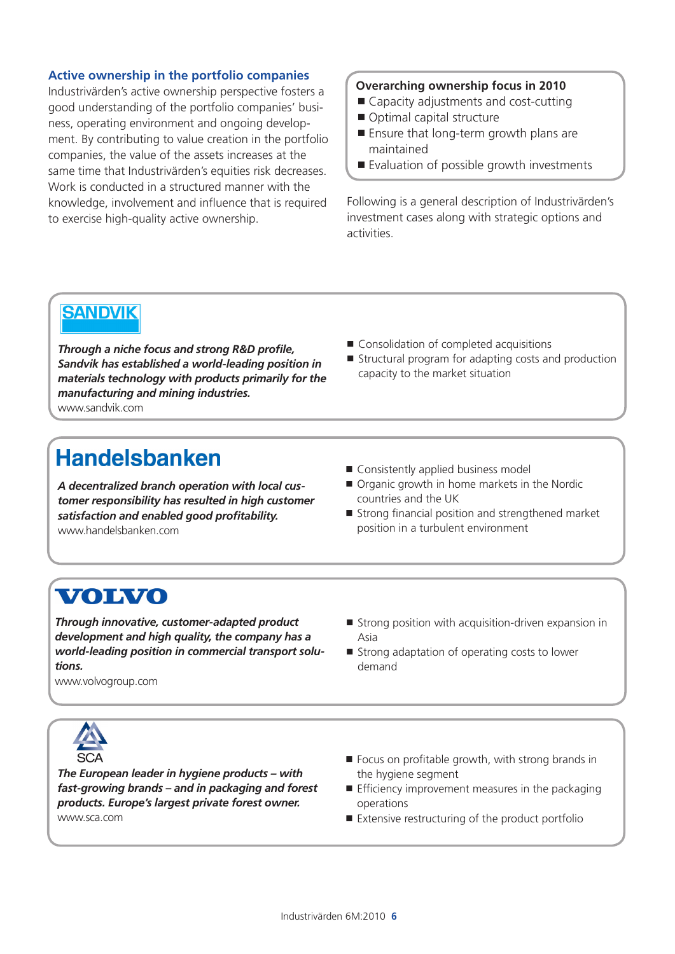### **Active ownership in the portfolio companies**

Industrivärden's active ownership perspective fosters a good understanding of the portfolio companies' business, operating environment and ongoing development. By contributing to value creation in the portfolio companies, the value of the assets increases at the same time that Industrivärden's equities risk decreases. Work is conducted in a structured manner with the knowledge, involvement and influence that is required to exercise high-quality active ownership.

### **Overarching ownership focus in 2010**

- Capacity adjustments and cost-cutting
- Optimal capital structure
- Ensure that long-term growth plans are maintained
- Evaluation of possible growth investments

Following is a general description of Industrivärden's investment cases along with strategic options and activities.

### **SANDVIK**

*Through a niche focus and strong R&D profile, Sandvik has established a world-leading position in materials technology with products primarily for the manufacturing and mining industries.* www.sandvik.com

- Consolidation of completed acquisitions
- Structural program for adapting costs and production capacity to the market situation

## **Handelsbanken**

*A decentralized branch operation with local customer responsibility has resulted in high customer satisfaction and enabled good profitability.* www.handelsbanken.com

- Consistently applied business model
- Organic growth in home markets in the Nordic countries and the UK
- Strong financial position and strengthened market position in a turbulent environment

### **VOLVO**

*Through innovative, customer-adapted product development and high quality, the company has a world-leading position in commercial transport solutions.* 

- $\blacksquare$  Strong position with acquisition-driven expansion in Asia
- Strong adaptation of operating costs to lower demand

www.volvogroup.com



*The European leader in hygiene products – with fast-growing brands – and in packaging and forest products. Europe's largest private forest owner.* www.sca.com

- Focus on profitable growth, with strong brands in the hygiene segment
- $\blacksquare$  Efficiency improvement measures in the packaging operations
- Extensive restructuring of the product portfolio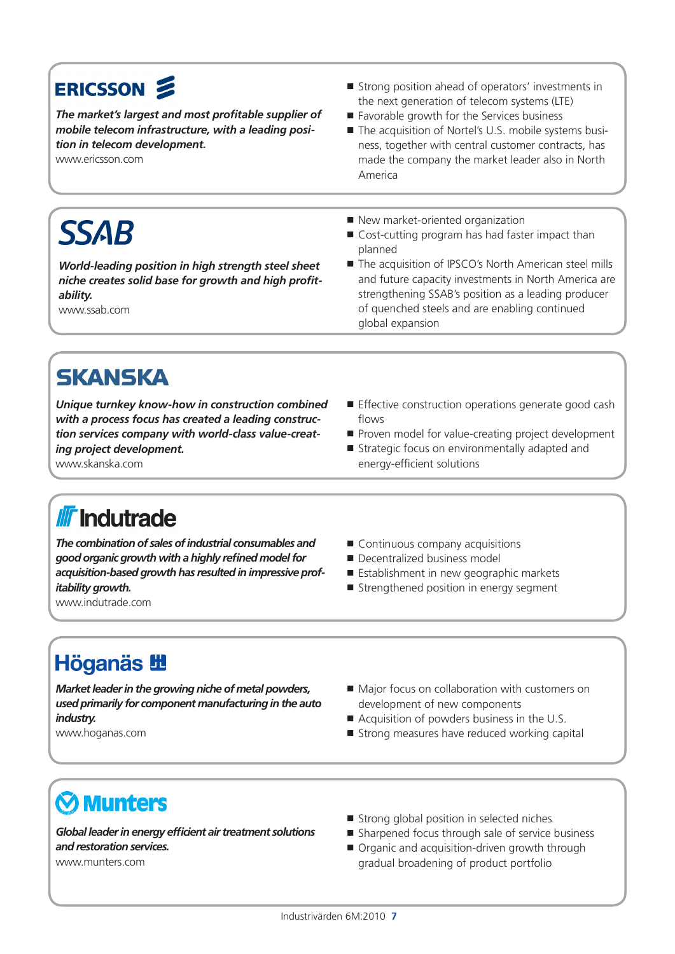# ERICSSON &

*The market's largest and most profitable supplier of mobile telecom infrastructure, with a leading position in telecom development.* 

*World-leading position in high strength steel sheet niche creates solid base for growth and high profit-*

www.ericsson.com

- Strong position ahead of operators' investments in the next generation of telecom systems (LTE)
- Favorable growth for the Services business
- The acquisition of Nortel's U.S. mobile systems business, together with central customer contracts, has made the company the market leader also in North America

New market-oriented organization

- Cost-cutting program has had faster impact than planned
- The acquisition of IPSCO's North American steel mills and future capacity investments in North America are strengthening SSAB's position as a leading producer of quenched steels and are enabling continued global expansion

*ability.*

www.ssab.com

**SSAB** 

**SKANSKA** *Unique turnkey know-how in construction combined with a process focus has created a leading construction services company with world-class value-creat-*

*ing project development.* www.skanska.com

- **Effective construction operations generate good cash** flows
- Proven model for value-creating project development
- Strategic focus on environmentally adapted and energy-efficient solutions

# **II** Indutrade

*The combination of sales of industrial consumables and good organic growth with a highly refined model for acquisition-based growth has resulted in impressive profitability growth.*

www.indutrade.com

- Continuous company acquisitions
- Decentralized business model
- **Establishment in new geographic markets**
- Strengthened position in energy segment

# **Höganäs 地**

*Market leader in the growing niche of metal powders, used primarily for component manufacturing in the auto industry.* www.hoganas.com

- Major focus on collaboration with customers on development of new components
- Acquisition of powders business in the U.S.
- Strong measures have reduced working capital

# **Munters**

*Global leader in energy efficient air treatment solutions and restoration services.* www.munters.com

- Strong global position in selected niches
- Sharpened focus through sale of service business
- Organic and acquisition-driven growth through gradual broadening of product portfolio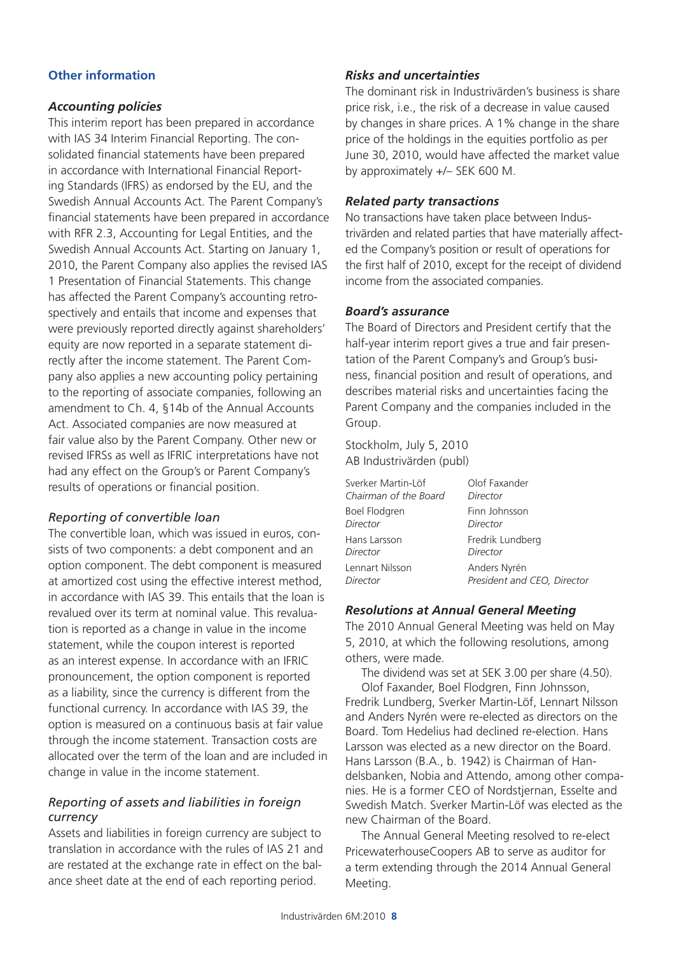### **Other information**

### *Accounting policies*

This interim report has been prepared in accordance with IAS 34 Interim Financial Reporting. The consolidated financial statements have been prepared in accordance with International Financial Reporting Standards (IFRS) as endorsed by the EU, and the Swedish Annual Accounts Act. The Parent Company's financial statements have been prepared in accordance with RFR 2.3, Accounting for Legal Entities, and the Swedish Annual Accounts Act. Starting on January 1, 2010, the Parent Company also applies the revised IAS 1 Presentation of Financial Statements. This change has affected the Parent Company's accounting retrospectively and entails that income and expenses that were previously reported directly against shareholders' equity are now reported in a separate statement directly after the income statement. The Parent Company also applies a new accounting policy pertaining to the reporting of associate companies, following an amendment to Ch. 4, §14b of the Annual Accounts Act. Associated companies are now measured at fair value also by the Parent Company. Other new or revised IFRSs as well as IFRIC interpretations have not had any effect on the Group's or Parent Company's results of operations or financial position.

### *Reporting of convertible loan*

The convertible loan, which was issued in euros, consists of two components: a debt component and an option component. The debt component is measured at amortized cost using the effective interest method, in accordance with IAS 39. This entails that the loan is revalued over its term at nominal value. This revaluation is reported as a change in value in the income statement, while the coupon interest is reported as an interest expense. In accordance with an IFRIC pronouncement, the option component is reported as a liability, since the currency is different from the functional currency. In accordance with IAS 39, the option is measured on a continuous basis at fair value through the income statement. Transaction costs are allocated over the term of the loan and are included in change in value in the income statement.

### *Reporting of assets and liabilities in foreign currency*

Assets and liabilities in foreign currency are subject to translation in accordance with the rules of IAS 21 and are restated at the exchange rate in effect on the balance sheet date at the end of each reporting period.

### *Risks and uncertainties*

The dominant risk in Industrivärden's business is share price risk, i.e., the risk of a decrease in value caused by changes in share prices. A 1% change in the share price of the holdings in the equities portfolio as per June 30, 2010, would have affected the market value by approximately +/– SEK 600 M.

### *Related party transactions*

No transactions have taken place between Industrivärden and related parties that have materially affected the Company's position or result of operations for the first half of 2010, except for the receipt of dividend income from the associated companies.

### *Board's assurance*

The Board of Directors and President certify that the half-year interim report gives a true and fair presentation of the Parent Company's and Group's business, financial position and result of operations, and describes material risks and uncertainties facing the Parent Company and the companies included in the Group.

Stockholm, July 5, 2010 AB Industrivärden (publ)

| Sverker Martin-Löf    | Olof Faxander               |
|-----------------------|-----------------------------|
| Chairman of the Board | Director                    |
| Boel Flodgren         | Finn Johnsson               |
| Director              | Director                    |
| Hans Larsson          | Fredrik Lundberg            |
| Director              | Director                    |
| Lennart Nilsson       | Anders Nyrén                |
| Director              | President and CEO, Director |

### *Resolutions at Annual General Meeting*

The 2010 Annual General Meeting was held on May 5, 2010, at which the following resolutions, among others, were made.

The dividend was set at SEK 3.00 per share (4.50). Olof Faxander, Boel Flodgren, Finn Johnsson, Fredrik Lundberg, Sverker Martin-Löf, Lennart Nilsson and Anders Nyrén were re-elected as directors on the Board. Tom Hedelius had declined re-election. Hans Larsson was elected as a new director on the Board. Hans Larsson (B.A., b. 1942) is Chairman of Handelsbanken, Nobia and Attendo, among other companies. He is a former CEO of Nordstjernan, Esselte and Swedish Match. Sverker Martin-Löf was elected as the new Chairman of the Board.

The Annual General Meeting resolved to re-elect PricewaterhouseCoopers AB to serve as auditor for a term extending through the 2014 Annual General Meeting.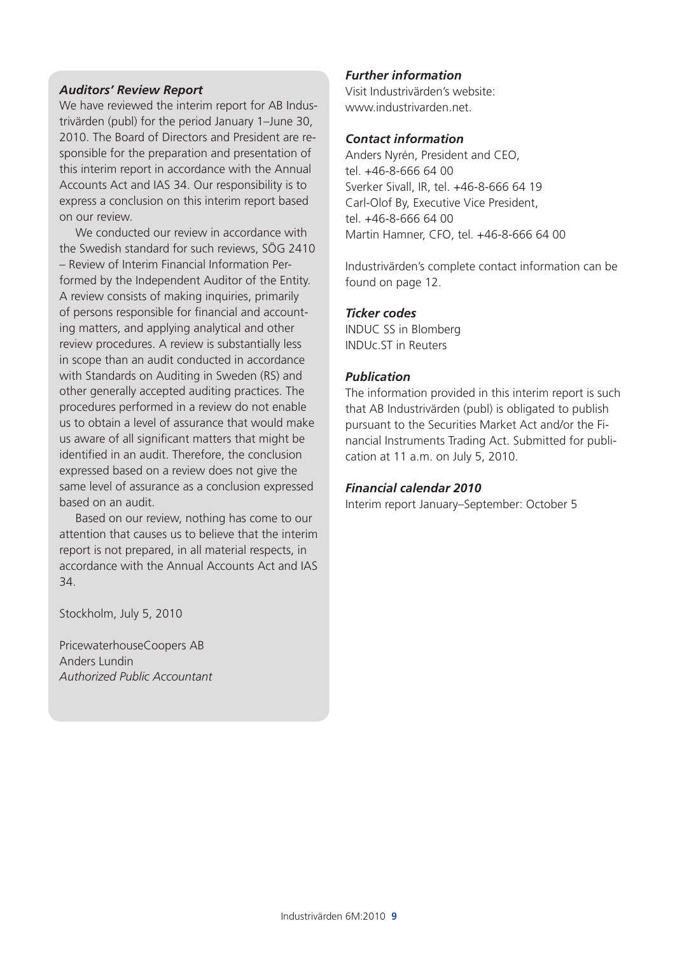### *Auditors' Review Report*

We have reviewed the interim report for AB Industrivärden (publ) for the period January 1–June 30, 2010. The Board of Directors and President are responsible for the preparation and presentation of this interim report in accordance with the Annual Accounts Act and IAS 34. Our responsibility is to express a conclusion on this interim report based on our review.

We conducted our review in accordance with the Swedish standard for such reviews, SÖG 2410 – Review of Interim Financial Information Performed by the Independent Auditor of the Entity. A review consists of making inquiries, primarily of persons responsible for financial and accounting matters, and applying analytical and other review procedures. A review is substantially less in scope than an audit conducted in accordance with Standards on Auditing in Sweden (RS) and other generally accepted auditing practices. The procedures performed in a review do not enable us to obtain a level of assurance that would make us aware of all significant matters that might be identified in an audit. Therefore, the conclusion expressed based on a review does not give the same level of assurance as a conclusion expressed based on an audit.

Based on our review, nothing has come to our attention that causes us to believe that the interim report is not prepared, in all material respects, in accordance with the Annual Accounts Act and IAS 34.

Stockholm, July 5, 2010

PricewaterhouseCoopers AB Anders Lundin *Authorized Public Accountant*

### *Further information*

Visit Industrivärden's website: www.industrivarden.net.

### *Contact information*

Anders Nyrén, President and CEO, tel. +46-8-666 64 00 Sverker Sivall, IR, tel. +46-8-666 64 19 Carl-Olof By, Executive Vice President, tel. +46-8-666 64 00 Martin Hamner, CFO, tel. +46-8-666 64 00

Industrivärden's complete contact information can be found on page 12.

### *Ticker codes*

INDUC SS in Blomberg INDUc.ST in Reuters

### *Publication*

The information provided in this interim report is such that AB Industrivärden (publ) is obligated to publish pursuant to the Securities Market Act and/or the Financial Instruments Trading Act. Submitted for publication at 11 a.m. on July 5, 2010.

### *Financial calendar 2010*

Interim report January–September: October 5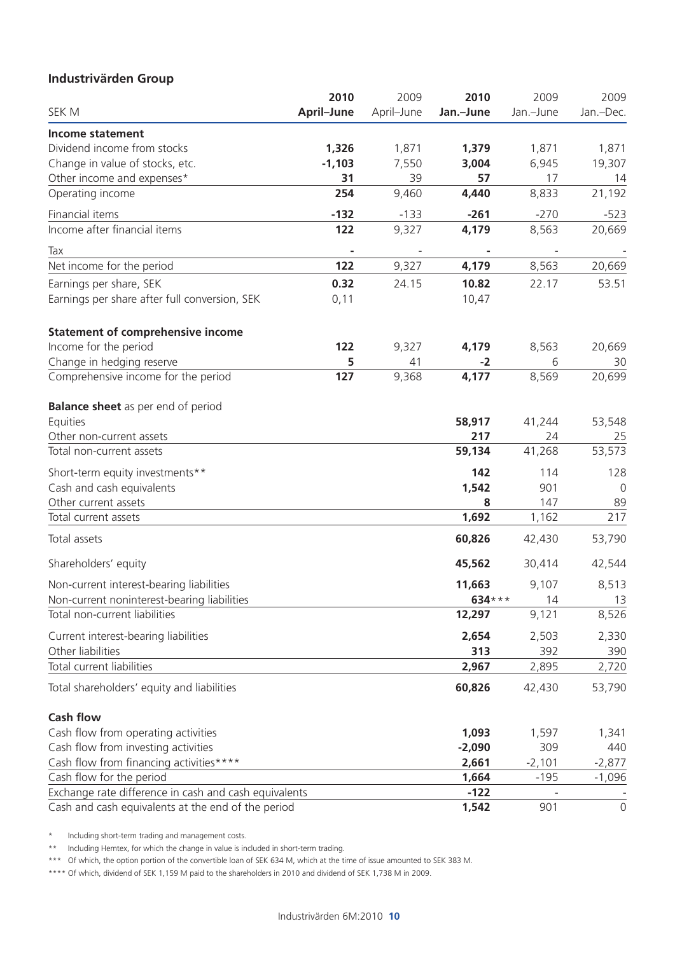### **Industrivärden Group**

|                                                       | 2010       | 2009       | 2010      | 2009      | 2009                |
|-------------------------------------------------------|------------|------------|-----------|-----------|---------------------|
| SEK M                                                 | April-June | April-June | Jan.-June | Jan.-June | Jan.-Dec.           |
| <b>Income statement</b>                               |            |            |           |           |                     |
| Dividend income from stocks                           | 1,326      | 1,871      | 1,379     | 1,871     | 1,871               |
| Change in value of stocks, etc.                       | $-1,103$   | 7,550      | 3,004     | 6,945     | 19,307              |
| Other income and expenses*                            | 31         | 39         | 57        | 17        | 14                  |
| Operating income                                      | 254        | 9,460      | 4,440     | 8,833     | 21,192              |
| Financial items                                       | $-132$     | $-133$     | $-261$    | $-270$    | $-523$              |
| Income after financial items                          | 122        | 9,327      | 4,179     | 8,563     | 20,669              |
| Tax                                                   |            |            |           |           |                     |
| Net income for the period                             | 122        | 9,327      | 4,179     | 8,563     | 20,669              |
| Earnings per share, SEK                               | 0.32       | 24.15      | 10.82     | 22.17     | 53.51               |
| Earnings per share after full conversion, SEK         | 0,11       |            | 10,47     |           |                     |
| <b>Statement of comprehensive income</b>              |            |            |           |           |                     |
| Income for the period                                 | 122        | 9,327      | 4,179     | 8,563     | 20,669              |
| Change in hedging reserve                             | 5          | 41         | $-2$      | 6         | 30                  |
| Comprehensive income for the period                   | 127        | 9,368      | 4,177     | 8,569     | 20,699              |
| <b>Balance sheet</b> as per end of period             |            |            |           |           |                     |
| Equities                                              |            |            | 58,917    | 41,244    | 53,548              |
| Other non-current assets                              |            |            | 217       | 24        | 25                  |
| Total non-current assets                              |            |            | 59,134    | 41,268    | 53,573              |
| Short-term equity investments**                       |            |            | 142       | 114       | 128                 |
| Cash and cash equivalents                             |            |            | 1,542     | 901       | 0                   |
| Other current assets                                  |            |            | 8         | 147       | 89                  |
| Total current assets                                  |            |            | 1,692     | 1,162     | 217                 |
| Total assets                                          |            |            | 60,826    | 42,430    | 53,790              |
| Shareholders' equity                                  |            |            | 45,562    | 30,414    | 42,544              |
| Non-current interest-bearing liabilities              |            |            | 11,663    | 9,107     | 8,513               |
| Non-current noninterest-bearing liabilities           |            |            | 634 ***   | 14        | 13                  |
| Total non-current liabilities                         |            |            | 12,297    | 9,121     | 8,526               |
| Current interest-bearing liabilities                  |            |            | 2,654     | 2,503     | 2,330               |
| Other liabilities                                     |            |            | 313       | 392       | 390                 |
| Total current liabilities                             |            |            | 2,967     | 2,895     | 2,720               |
| Total shareholders' equity and liabilities            |            |            | 60,826    | 42,430    | 53,790              |
| <b>Cash flow</b>                                      |            |            |           |           |                     |
| Cash flow from operating activities                   |            |            | 1,093     | 1,597     | 1,341               |
| Cash flow from investing activities                   |            |            | $-2,090$  | 309       | 440                 |
| Cash flow from financing activities****               |            |            | 2,661     | $-2,101$  | $-2,877$            |
| Cash flow for the period                              |            |            | 1,664     | $-195$    | $-1,096$            |
| Exchange rate difference in cash and cash equivalents |            |            | $-122$    |           |                     |
| Cash and cash equivalents at the end of the period    |            |            | 1,542     | 901       | $\mathsf{O}\xspace$ |

\* Including short-term trading and management costs.

\*\* Including Hemtex, for which the change in value is included in short-term trading.

\*\*\* Of which, the option portion of the convertible loan of SEK 634 M, which at the time of issue amounted to SEK 383 M.

\*\*\*\* Of which, dividend of SEK 1,159 M paid to the shareholders in 2010 and dividend of SEK 1,738 M in 2009.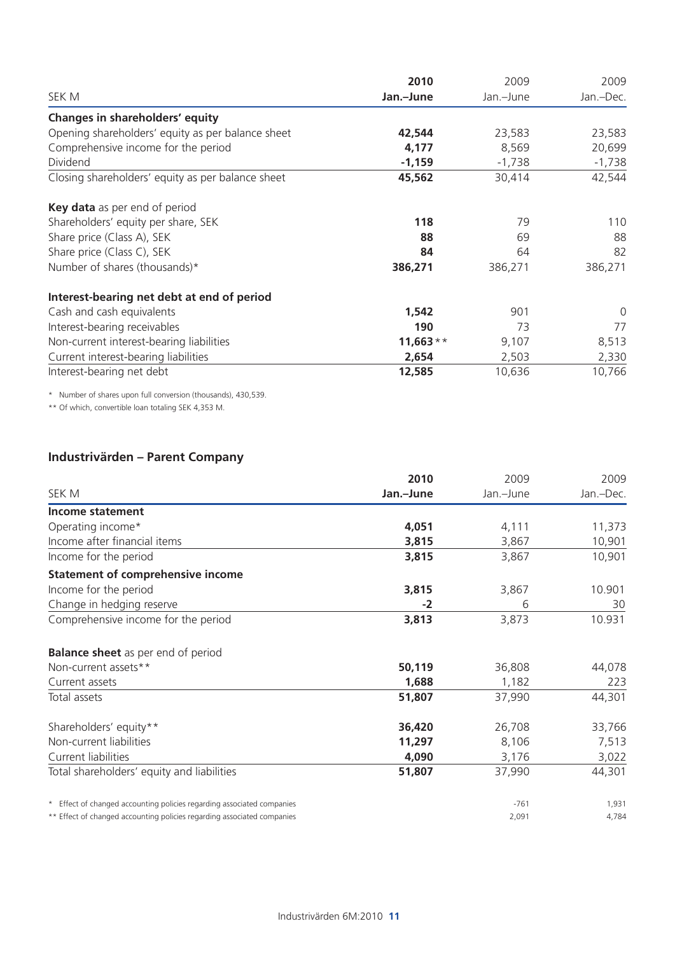|                                                   | 2010       | 2009      | 2009      |  |
|---------------------------------------------------|------------|-----------|-----------|--|
| SEK M                                             | Jan.-June  | Jan.-June | Jan.-Dec. |  |
| Changes in shareholders' equity                   |            |           |           |  |
| Opening shareholders' equity as per balance sheet | 42,544     | 23,583    | 23,583    |  |
| Comprehensive income for the period               | 4,177      | 8,569     | 20,699    |  |
| Dividend                                          | $-1,159$   | $-1,738$  | $-1,738$  |  |
| Closing shareholders' equity as per balance sheet | 45,562     | 30,414    | 42,544    |  |
| Key data as per end of period                     |            |           |           |  |
| Shareholders' equity per share, SEK               | 118        | 79        | 110       |  |
| Share price (Class A), SEK                        | 88         | 69        | 88        |  |
| Share price (Class C), SEK                        | 84         | 64        | 82        |  |
| Number of shares (thousands)*                     | 386,271    | 386,271   | 386,271   |  |
| Interest-bearing net debt at end of period        |            |           |           |  |
| Cash and cash equivalents                         | 1,542      | 901       | 0         |  |
| Interest-bearing receivables                      | 190        | 73        | 77        |  |
| Non-current interest-bearing liabilities          | $11,663**$ | 9,107     | 8,513     |  |
| Current interest-bearing liabilities              | 2,654      | 2,503     | 2,330     |  |
| Interest-bearing net debt                         | 12,585     | 10,636    | 10,766    |  |

\* Number of shares upon full conversion (thousands), 430,539.

\*\* Of which, convertible loan totaling SEK 4,353 M.

### **Industrivärden – Parent Company**

|                                                                         | 2010      | 2009      | 2009      |
|-------------------------------------------------------------------------|-----------|-----------|-----------|
| SEK M                                                                   | Jan.-June | Jan.-June | Jan.-Dec. |
| Income statement                                                        |           |           |           |
| Operating income*                                                       | 4,051     | 4,111     | 11,373    |
| Income after financial items                                            | 3,815     | 3,867     | 10,901    |
| Income for the period                                                   | 3,815     | 3,867     | 10,901    |
| <b>Statement of comprehensive income</b>                                |           |           |           |
| Income for the period                                                   | 3,815     | 3,867     | 10.901    |
| Change in hedging reserve                                               | $-2$      | 6         | 30        |
| Comprehensive income for the period                                     | 3,813     | 3,873     | 10.931    |
| <b>Balance sheet</b> as per end of period                               |           |           |           |
| Non-current assets**                                                    | 50,119    | 36,808    | 44,078    |
| Current assets                                                          | 1,688     | 1,182     | 223       |
| Total assets                                                            | 51,807    | 37,990    | 44,301    |
| Shareholders' equity**                                                  | 36,420    | 26,708    | 33,766    |
| Non-current liabilities                                                 | 11,297    | 8,106     | 7,513     |
| Current liabilities                                                     | 4,090     | 3,176     | 3,022     |
| Total shareholders' equity and liabilities                              | 51,807    | 37,990    | 44,301    |
| * Effect of changed accounting policies regarding associated companies  |           | $-761$    | 1,931     |
| ** Effect of changed accounting policies regarding associated companies |           | 2,091     | 4,784     |